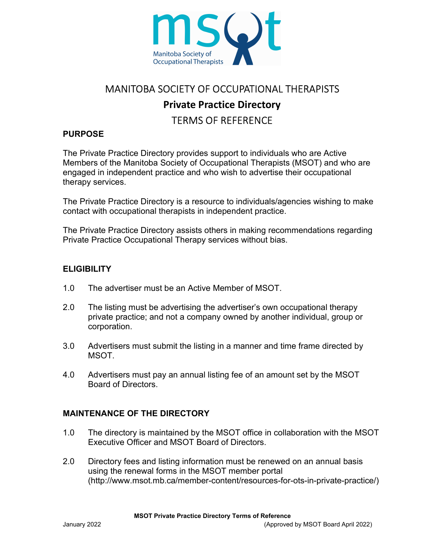

# MANITOBA SOCIETY OF OCCUPATIONAL THERAPISTS Private Practice Directory TERMS OF REFERENCE

## PURPOSE

The Private Practice Directory provides support to individuals who are Active Members of the Manitoba Society of Occupational Therapists (MSOT) and who are engaged in independent practice and who wish to advertise their occupational therapy services.

The Private Practice Directory is a resource to individuals/agencies wishing to make contact with occupational therapists in independent practice.

The Private Practice Directory assists others in making recommendations regarding Private Practice Occupational Therapy services without bias.

#### **ELIGIBILITY**

- 1.0 The advertiser must be an Active Member of MSOT.
- 2.0 The listing must be advertising the advertiser's own occupational therapy private practice; and not a company owned by another individual, group or corporation.
- 3.0 Advertisers must submit the listing in a manner and time frame directed by **MSOT.**
- 4.0 Advertisers must pay an annual listing fee of an amount set by the MSOT Board of Directors.

#### MAINTENANCE OF THE DIRECTORY

- 1.0 The directory is maintained by the MSOT office in collaboration with the MSOT Executive Officer and MSOT Board of Directors.
- 2.0 Directory fees and listing information must be renewed on an annual basis using the renewal forms in the MSOT member portal (http://www.msot.mb.ca/member-content/resources-for-ots-in-private-practice/)

MSOT Private Practice Directory Terms of Reference